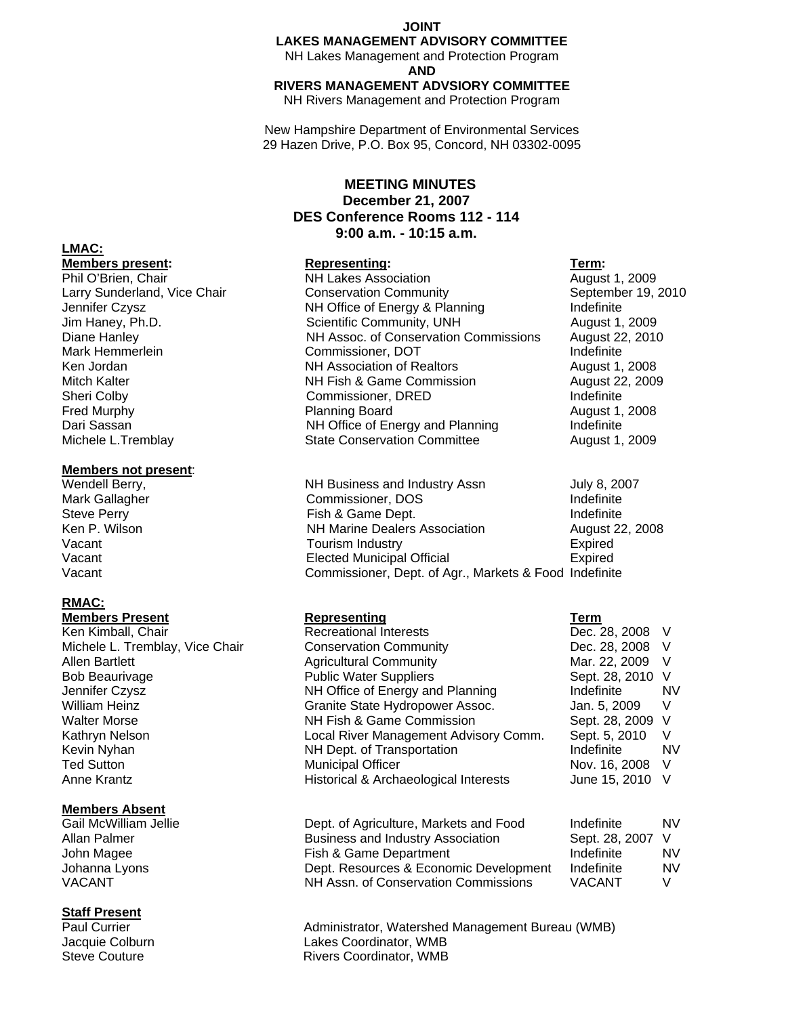#### **JOINT**

# **LAKES MANAGEMENT ADVISORY COMMITTEE**

NH Lakes Management and Protection Program **AND**

#### **RIVERS MANAGEMENT ADVSIORY COMMITTEE**

NH Rivers Management and Protection Program

New Hampshire Department of Environmental Services 29 Hazen Drive, P.O. Box 95, Concord, NH 03302-0095

# **MEETING MINUTES December 21, 2007 DES Conference Rooms 112 - 114 9:00 a.m. - 10:15 a.m.**

## **Members present:** Term: **Representing:** Term: **Term: Term: Representing:** Term: **Term: Representing:** Term: **Term: Propriets**

Phil O'Brien, Chair **NH Lakes Association** August 1, 2009 Larry Sunderland, Vice Chair **Conservation Community** September 19, 2010 Jennifer Czysz NH Office of Energy & Planning Indefinite Jim Haney, Ph.D. Scientific Community, UNH August 1, 2009 Diane Hanley NH Assoc. of Conservation Commissions August 22, 2010 Mark Hemmerlein **National Commissioner, DOT** Mark Hemmerlein **Indefinite** Ken Jordan NH Association of Realtors August 1, 2008 NH Fish & Game Commission August 22, 2009 Sheri Colby **Commissioner, DRED Indefinite** Fred Murphy **Planning Board Planning Board Planning Board August 1, 2008** Dari Sassan **NH Office of Energy and Planning** Indefinite Michele L.Tremblay State Conservation Committee August 1, 2009

Wendell Berry, The Controller States and Industry Assn Tuly 8, 2007 Ken P. Wilson **Number 22, 2008** NH Marine Dealers Association **August 22, 2008** 

| Gail McWilliam Jellie | Dept. of Agriculture, Markets and Food | Indefinite       | NV. |
|-----------------------|----------------------------------------|------------------|-----|
| Allan Palmer          | Business and Industry Association      | Sept. 28, 2007 V |     |
| John Magee            | Fish & Game Department                 | Indefinite       | NV. |
| Johanna Lyons         | Dept. Resources & Economic Development | Indefinite       | NV. |
| VACANT                | NH Assn. of Conservation Commissions   | <b>VACANT</b>    |     |

Administrator, Watershed Management Bureau (WMB) Jacquie Colburn Lakes Coordinator, WMB Steve Couture **Rivers Coordinator**, WMB

# **LMAC:**

#### **Members not present**:

Mark Gallagher **Commissioner, DOS** Indefinite Steve Perry **Fish & Game Dept.** Indefinite Steve Perry and the Steve Perry and the Steve Perry Vacant **Tourism Industry Tourism Industry Expired** Vacant Elected Municipal Official Expired Vacant Commissioner, Dept. of Agr., Markets & Food Indefinite

# **RMAC:**

# **Members Present Representing Term**

Ken Kimball, Chair **Recreational Interests Dec. 28, 2008** V Michele L. Tremblay, Vice Chair Conservation Community Conserversity Dec. 28, 2008 V Allen Bartlett **Agricultural Community** Mar. 22, 2009 V Bob Beaurivage The Rublic Water Suppliers Sept. 28, 2010 V Jennifer Czysz NH Office of Energy and Planning Indefinite NV William Heinz **Granite State Hydropower Assoc.** Jan. 5, 2009 V Walter Morse **NH Fish & Game Commission** Sept. 28, 2009 V Kathryn Nelson **Local River Management Advisory Comm.** Sept. 5, 2010 V Kevin Nyhan **NH Dept. of Transportation** Indefinite NV Ted Sutton **Municipal Officer** Municipal Officer **Nov. 16, 2008** V Anne Krantz **Historical & Archaeological Interests** June 15, 2010 V

## **Members Absent**

# **Staff Present**<br>Paul Currier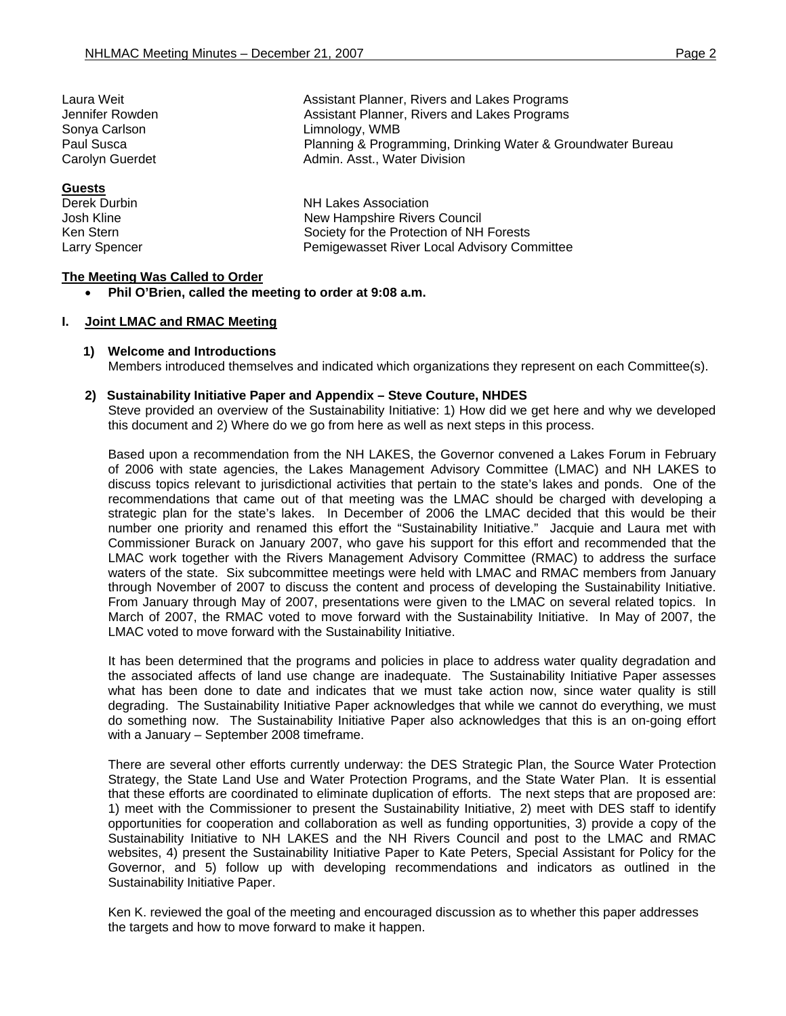|                      | Assistant Planner, Rivers and Lakes Programs                |  |
|----------------------|-------------------------------------------------------------|--|
| Jennifer Rowden      | Assistant Planner, Rivers and Lakes Programs                |  |
| Sonya Carlson        | Limnology, WMB                                              |  |
| Paul Susca           | Planning & Programming, Drinking Water & Groundwater Bureau |  |
| Carolyn Guerdet      | Admin. Asst., Water Division                                |  |
| <b>Guests</b>        |                                                             |  |
| Derek Durbin         | <b>NH Lakes Association</b>                                 |  |
| Josh Kline           | New Hampshire Rivers Council                                |  |
| Ken Stern            | Society for the Protection of NH Forests                    |  |
| <b>Larry Spencer</b> | Pemigewasset River Local Advisory Committee                 |  |

## **The Meeting Was Called to Order**

• **Phil O'Brien, called the meeting to order at 9:08 a.m.** 

#### **I. Joint LMAC and RMAC Meeting**

#### **1) Welcome and Introductions**

Members introduced themselves and indicated which organizations they represent on each Committee(s).

#### **2) Sustainability Initiative Paper and Appendix – Steve Couture, NHDES**

Laura Weit Assistant Planner, Rivers and Lakes Programs

Steve provided an overview of the Sustainability Initiative: 1) How did we get here and why we developed this document and 2) Where do we go from here as well as next steps in this process.

Based upon a recommendation from the NH LAKES, the Governor convened a Lakes Forum in February of 2006 with state agencies, the Lakes Management Advisory Committee (LMAC) and NH LAKES to discuss topics relevant to jurisdictional activities that pertain to the state's lakes and ponds. One of the recommendations that came out of that meeting was the LMAC should be charged with developing a strategic plan for the state's lakes. In December of 2006 the LMAC decided that this would be their number one priority and renamed this effort the "Sustainability Initiative." Jacquie and Laura met with Commissioner Burack on January 2007, who gave his support for this effort and recommended that the LMAC work together with the Rivers Management Advisory Committee (RMAC) to address the surface waters of the state. Six subcommittee meetings were held with LMAC and RMAC members from January through November of 2007 to discuss the content and process of developing the Sustainability Initiative. From January through May of 2007, presentations were given to the LMAC on several related topics. In March of 2007, the RMAC voted to move forward with the Sustainability Initiative. In May of 2007, the LMAC voted to move forward with the Sustainability Initiative.

It has been determined that the programs and policies in place to address water quality degradation and the associated affects of land use change are inadequate. The Sustainability Initiative Paper assesses what has been done to date and indicates that we must take action now, since water quality is still degrading. The Sustainability Initiative Paper acknowledges that while we cannot do everything, we must do something now. The Sustainability Initiative Paper also acknowledges that this is an on-going effort with a January – September 2008 timeframe.

There are several other efforts currently underway: the DES Strategic Plan, the Source Water Protection Strategy, the State Land Use and Water Protection Programs, and the State Water Plan. It is essential that these efforts are coordinated to eliminate duplication of efforts. The next steps that are proposed are: 1) meet with the Commissioner to present the Sustainability Initiative, 2) meet with DES staff to identify opportunities for cooperation and collaboration as well as funding opportunities, 3) provide a copy of the Sustainability Initiative to NH LAKES and the NH Rivers Council and post to the LMAC and RMAC websites, 4) present the Sustainability Initiative Paper to Kate Peters, Special Assistant for Policy for the Governor, and 5) follow up with developing recommendations and indicators as outlined in the Sustainability Initiative Paper.

Ken K. reviewed the goal of the meeting and encouraged discussion as to whether this paper addresses the targets and how to move forward to make it happen.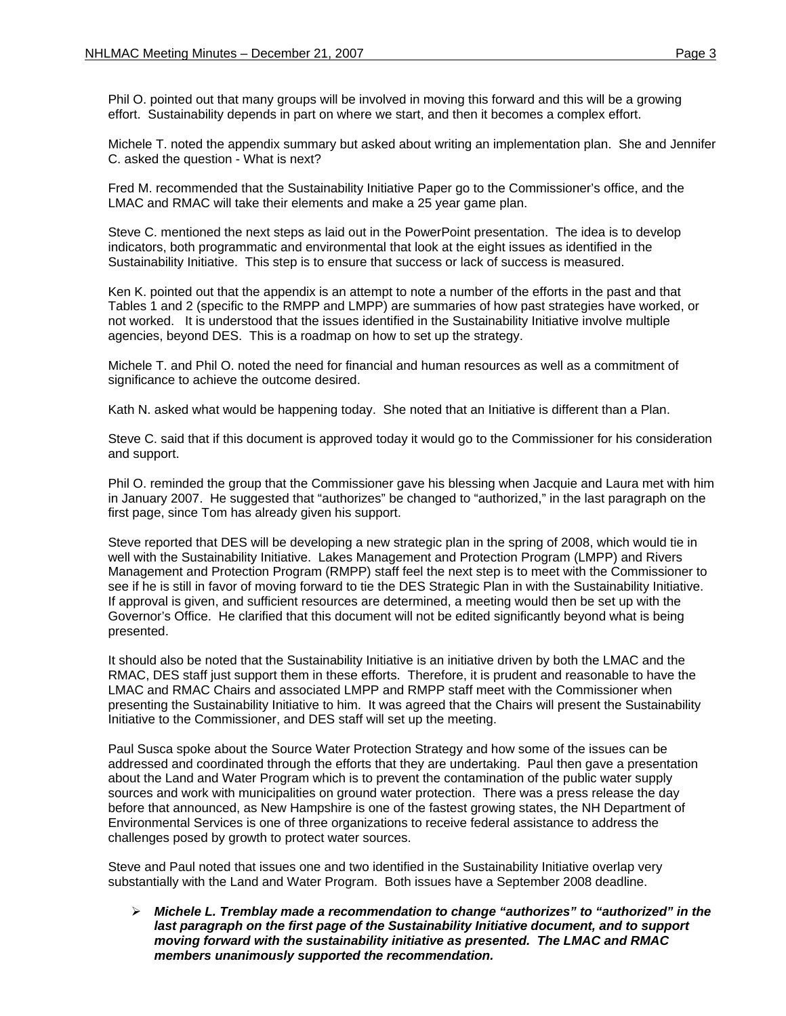Phil O. pointed out that many groups will be involved in moving this forward and this will be a growing effort. Sustainability depends in part on where we start, and then it becomes a complex effort.

Michele T. noted the appendix summary but asked about writing an implementation plan. She and Jennifer C. asked the question - What is next?

Fred M. recommended that the Sustainability Initiative Paper go to the Commissioner's office, and the LMAC and RMAC will take their elements and make a 25 year game plan.

Steve C. mentioned the next steps as laid out in the PowerPoint presentation. The idea is to develop indicators, both programmatic and environmental that look at the eight issues as identified in the Sustainability Initiative. This step is to ensure that success or lack of success is measured.

Ken K. pointed out that the appendix is an attempt to note a number of the efforts in the past and that Tables 1 and 2 (specific to the RMPP and LMPP) are summaries of how past strategies have worked, or not worked. It is understood that the issues identified in the Sustainability Initiative involve multiple agencies, beyond DES. This is a roadmap on how to set up the strategy.

Michele T. and Phil O. noted the need for financial and human resources as well as a commitment of significance to achieve the outcome desired.

Kath N. asked what would be happening today. She noted that an Initiative is different than a Plan.

Steve C. said that if this document is approved today it would go to the Commissioner for his consideration and support.

Phil O. reminded the group that the Commissioner gave his blessing when Jacquie and Laura met with him in January 2007. He suggested that "authorizes" be changed to "authorized," in the last paragraph on the first page, since Tom has already given his support.

Steve reported that DES will be developing a new strategic plan in the spring of 2008, which would tie in well with the Sustainability Initiative. Lakes Management and Protection Program (LMPP) and Rivers Management and Protection Program (RMPP) staff feel the next step is to meet with the Commissioner to see if he is still in favor of moving forward to tie the DES Strategic Plan in with the Sustainability Initiative. If approval is given, and sufficient resources are determined, a meeting would then be set up with the Governor's Office. He clarified that this document will not be edited significantly beyond what is being presented.

It should also be noted that the Sustainability Initiative is an initiative driven by both the LMAC and the RMAC, DES staff just support them in these efforts. Therefore, it is prudent and reasonable to have the LMAC and RMAC Chairs and associated LMPP and RMPP staff meet with the Commissioner when presenting the Sustainability Initiative to him. It was agreed that the Chairs will present the Sustainability Initiative to the Commissioner, and DES staff will set up the meeting.

Paul Susca spoke about the Source Water Protection Strategy and how some of the issues can be addressed and coordinated through the efforts that they are undertaking. Paul then gave a presentation about the Land and Water Program which is to prevent the contamination of the public water supply sources and work with municipalities on ground water protection. There was a press release the day before that announced, as New Hampshire is one of the fastest growing states, the NH Department of Environmental Services is one of three organizations to receive federal assistance to address the challenges posed by growth to protect water sources.

Steve and Paul noted that issues one and two identified in the Sustainability Initiative overlap very substantially with the Land and Water Program. Both issues have a September 2008 deadline.

¾ *Michele L. Tremblay made a recommendation to change "authorizes" to "authorized" in the*  last paragraph on the first page of the Sustainability Initiative document, and to support *moving forward with the sustainability initiative as presented. The LMAC and RMAC members unanimously supported the recommendation.*